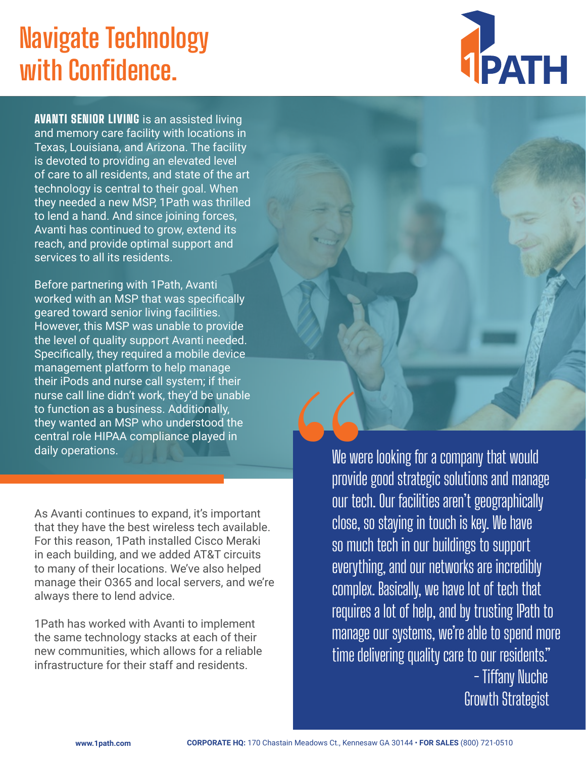## **Navigate Technology with Confidence.**



**AVANTI SENIOR LIVING** is an assisted living and memory care facility with locations in Texas, Louisiana, and Arizona. The facility is devoted to providing an elevated level of care to all residents, and state of the art technology is central to their goal. When they needed a new MSP, 1Path was thrilled to lend a hand. And since joining forces, Avanti has continued to grow, extend its reach, and provide optimal support and services to all its residents.

Before partnering with 1Path, Avanti worked with an MSP that was specifically geared toward senior living facilities. However, this MSP was unable to provide the level of quality support Avanti needed. Specifically, they required a mobile device management platform to help manage their iPods and nurse call system; if their nurse call line didn't work, they'd be unable to function as a business. Additionally, they wanted an MSP who understood the central role HIPAA compliance played in daily operations.

As Avanti continues to expand, it's important that they have the best wireless tech available. For this reason, 1Path installed Cisco Meraki in each building, and we added AT&T circuits to many of their locations. We've also helped manage their O365 and local servers, and we're always there to lend advice.

1Path has worked with Avanti to implement the same technology stacks at each of their new communities, which allows for a reliable infrastructure for their staff and residents.

We were looking for a company that would provide good strategic solutions and manage our tech. Our facilities aren't geographically close, so staying in touch is key. We have so much tech in our buildings to support everything, and our networks are incredibly complex. Basically, we have lot of tech that requires a lot of help, and by trusting 1Path to manage our systems, we're able to spend more time delivering quality care to our residents." - Tiffany Nuche Growth Strategist We were<br>provide<br>our tech<br>close, s<br>so mucl<br>everythi